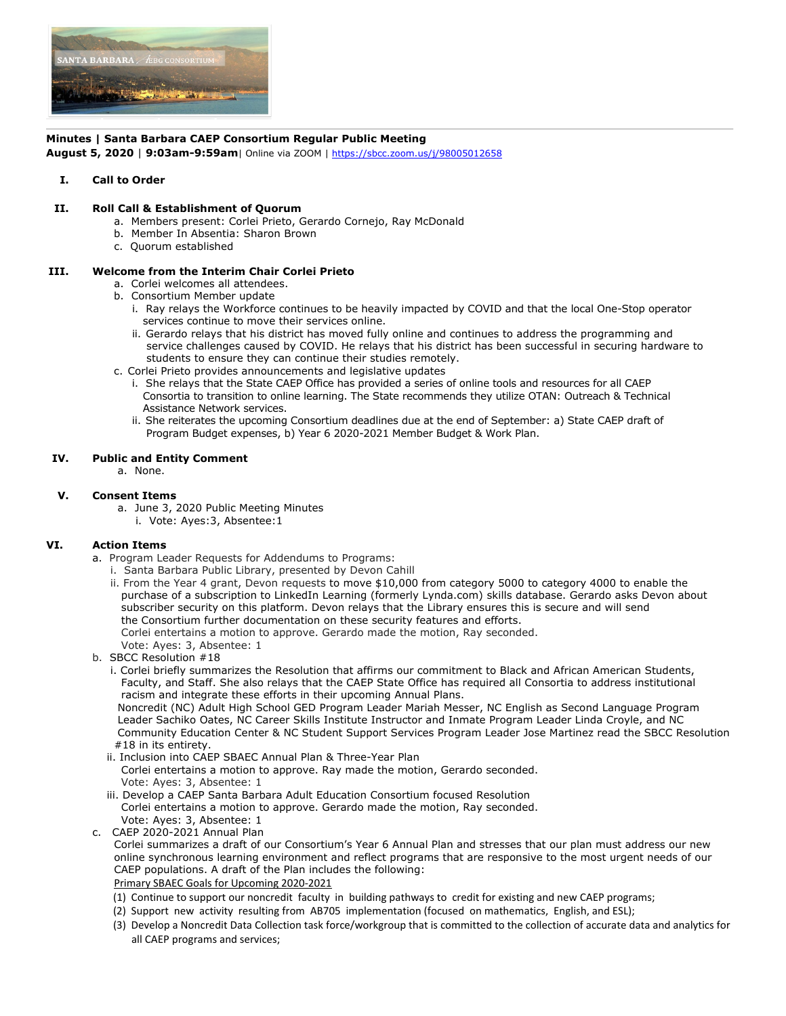

### **Minutes | Santa Barbara CAEP Consortium Regular Public Meeting**

**August 5, 2020** | **9:03am-9:59am**| Online via ZOOM | https://sbcc.zoom.us/j/98005012658

### **I. Call to Order**

#### **II. Roll Call & Establishment of Quorum**

- a. Members present: Corlei Prieto, Gerardo Cornejo, Ray McDonald
- b. Member In Absentia: Sharon Brown
- c. Quorum established

# **III. Welcome from the Interim Chair Corlei Prieto**

- a. Corlei welcomes all attendees.
- b. Consortium Member update
	- i. Ray relays the Workforce continues to be heavily impacted by COVID and that the local One-Stop operator services continue to move their services online.
	- ii. Gerardo relays that his district has moved fully online and continues to address the programming and service challenges caused by COVID. He relays that his district has been successful in securing hardware to students to ensure they can continue their studies remotely.
- c. Corlei Prieto provides announcements and legislative updates
	- i. She relays that the State CAEP Office has provided a series of online tools and resources for all CAEP Consortia to transition to online learning. The State recommends they utilize OTAN: Outreach & Technical Assistance Network services.
	- ii. She reiterates the upcoming Consortium deadlines due at the end of September: a) State CAEP draft of Program Budget expenses, b) Year 6 2020-2021 Member Budget & Work Plan.

#### **IV. Public and Entity Comment**

a. None.

# **V. Consent Items**

- a. June 3, 2020 Public Meeting Minutes
	- i. Vote: Ayes:3, Absentee:1

# **VI. Action Items**

- a. Program Leader Requests for Addendums to Programs:
	- i. Santa Barbara Public Library, presented by Devon Cahill
	- ii. From the Year 4 grant, Devon requests to move \$10,000 from category 5000 to category 4000 to enable the purchase of a subscription to LinkedIn Learning (formerly Lynda.com) skills database. Gerardo asks Devon about subscriber security on this platform. Devon relays that the Library ensures this is secure and will send the Consortium further documentation on these security features and efforts. Corlei entertains a motion to approve. Gerardo made the motion, Ray seconded.

Vote: Ayes: 3, Absentee: 1

- b. SBCC Resolution #18
	- i. Corlei briefly summarizes the Resolution that affirms our commitment to Black and African American Students, Faculty, and Staff. She also relays that the CAEP State Office has required all Consortia to address institutional racism and integrate these efforts in their upcoming Annual Plans.

 Noncredit (NC) Adult High School GED Program Leader Mariah Messer, NC English as Second Language Program Leader Sachiko Oates, NC Career Skills Institute Instructor and Inmate Program Leader Linda Croyle, and NC Community Education Center & NC Student Support Services Program Leader Jose Martinez read the SBCC Resolution #18 in its entirety.

- ii. Inclusion into CAEP SBAEC Annual Plan & Three-Year Plan
- Corlei entertains a motion to approve. Ray made the motion, Gerardo seconded. Vote: Ayes: 3, Absentee: 1
- iii. Develop a CAEP Santa Barbara Adult Education Consortium focused Resolution Corlei entertains a motion to approve. Gerardo made the motion, Ray seconded. Vote: Ayes: 3, Absentee: 1
- c. CAEP 2020-2021 Annual Plan
	- Corlei summarizes a draft of our Consortium's Year 6 Annual Plan and stresses that our plan must address our new online synchronous learning environment and reflect programs that are responsive to the most urgent needs of our CAEP populations. A draft of the Plan includes the following:

#### Primary SBAEC Goals for Upcoming 2020-2021

- (1) Continue to support our noncredit faculty in building pathways to credit for existing and new CAEP programs;
- (2) Support new activity resulting from AB705 implementation (focused on mathematics, English, and ESL);
- (3) Develop a Noncredit Data Collection task force/workgroup that is committed to the collection of accurate data and analytics for all CAEP programs and services;